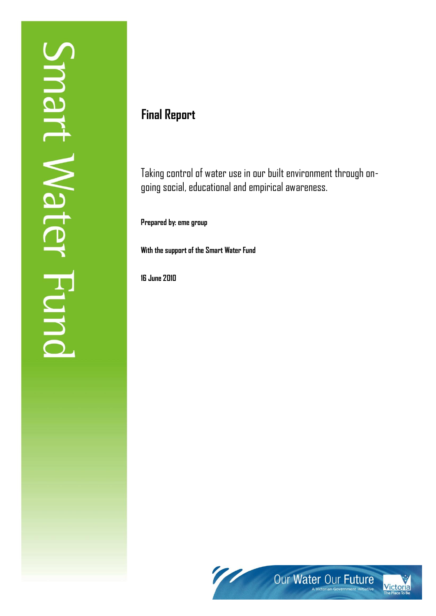# **Final Report**

Taking control of water use in our built environment through ongoing social, educational and empirical awareness.

**Prepared by: eme group**

**With the support of the Smart Water Fund**

**16 June 2010**

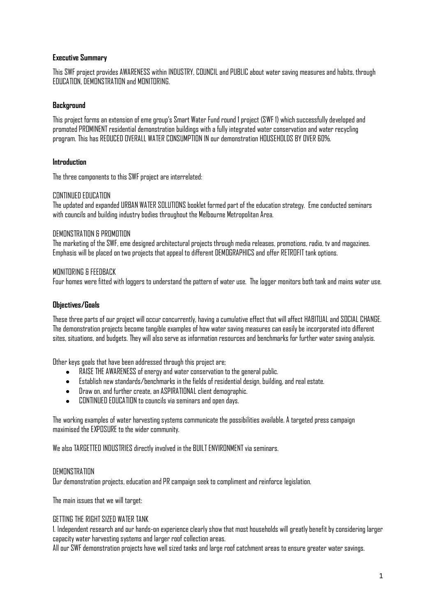#### **Executive Summary**

This SWF project provides AWARENESS within INDUSTRY, COUNCIL and PUBLIC about water saving measures and habits, through EDUCATION, DEMONSTRATION and MONITORING.

#### **Background**

This project forms an extension of eme group"s Smart Water Fund round 1 project (SWF 1) which successfully developed and promoted PROMINENT residential demonstration buildings with a fully integrated water conservation and water recycling program. This has REDUCED OVERALL WATER CONSUMPTION IN our demonstration HOUSEHOLDS BY OVER 60%.

#### **Introduction**

The three components to this SWF project are interrelated:

#### CONTINUED EDUCATION

The updated and expanded URBAN WATER SOLUTIONS booklet formed part of the education strategy. Eme conducted seminars with councils and building industry bodies throughout the Melbourne Metropolitan Area.

#### DEMONSTRATION & PROMOTION

The marketing of the SWF, eme designed architectural projects through media releases, promotions, radio, tv and magazines. Emphasis will be placed on two projects that appeal to different DEMOGRAPHICS and offer RETROFIT tank options.

#### MONITORING & FEEDBACK

Four homes were fitted with loggers to understand the pattern of water use. The logger monitors both tank and mains water use.

## **Objectives/Goals**

These three parts of our project will occur concurrently, having a cumulative effect that will affect HABITUAL and SOCIAL CHANGE. The demonstration projects become tangible examples of how water saving measures can easily be incorporated into different sites, situations, and budgets. They will also serve as information resources and benchmarks for further water saving analysis.

Other keys goals that have been addressed through this project are;

- RAISE THE AWARENESS of energy and water conservation to the general public.
- Establish new standards/benchmarks in the fields of residential design, building, and real estate.
- Draw on, and further create, an ASPIRATIONAL client demographic.
- CONTINUED EDUCATION to councils via seminars and open days.

The working examples of water harvesting systems communicate the possibilities available. A targeted press campaign maximised the EXPOSURE to the wider community.

We also TARGETTED INDUSTRIES directly involved in the BUILT ENVIRONMENT via seminars.

#### **DEMONSTRATION**

Our demonstration projects, education and PR campaign seek tocompliment and reinforce legislation.

The main issues that we will target:

## GETTING THE RIGHT SIZED WATER TANK

1. Independent research and our hands-on experience clearly show that most households will greatly benefit by considering larger capacity water harvesting systems and larger roof collection areas.

All our SWF demonstration projects have well sized tanks and large roof catchment areas toensure greater water savings.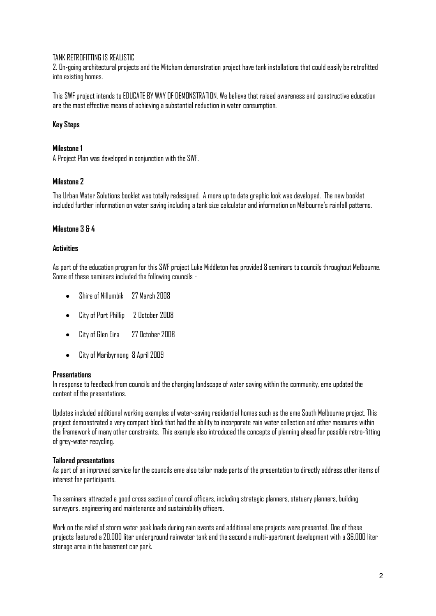#### TANK RETROFITTING IS REALISTIC

2. On-going architectural projects and the Mitcham demonstration project have tank installations that could easily be retrofitted into existing homes.

This SWF project intends to EDUCATE BY WAY OF DEMONSTRATION. We believe that raised awareness and constructive education are the most effective means of achieving a substantial reduction in water consumption.

#### **Key Steps**

#### **Milestone 1**

A Project Plan was developed in conjunction with the SWF.

#### **Milestone 2**

The Urban Water Solutions booklet was totally redesigned. A more up to date graphic look was developed. The new booklet included further information on water saving including a tank size calculator and information on Melbourne"s rainfall patterns.

#### **Milestone 3 & 4**

#### **Activities**

As part of the education program for this SWF project Luke Middleton has provided 8 seminars to councils throughout Melbourne. Some of these seminars included the following councils -

- Shire of Nillumbik 27 March 2008
- City of Port Phillip 2 October 2008  $\bullet$
- City of Glen Eira 27 October 2008  $\bullet$
- City of Maribyrnong 8 April 2009  $\bullet$

#### **Presentations**

In response to feedback from councils and the changing landscape of water saving within the community, eme updated the content of the presentations.

Updates included additional working examples of water-saving residential homes such as the eme South Melbourne project. This project demonstrated a very compact block that had the ability to incorporate rain water collection and other measures within the framework of many other constraints. This example also introduced the concepts of planning ahead for possible retro-fitting of grey-water recycling.

#### **Tailored presentations**

As part of an improved service for the councils eme also tailor made parts of the presentation to directly address other items of interest for participants.

The seminars attracted a good cross section of council officers, including strategic planners, statuary planners, building surveyors, engineering and maintenance and sustainability officers.

Work on the relief of storm water peak loads during rain events and additional eme projects were presented. One of these projects featureda 20,000 liter underground rainwater tank and the second a multi-apartment development with a 36,000 liter storage area in the basement car park.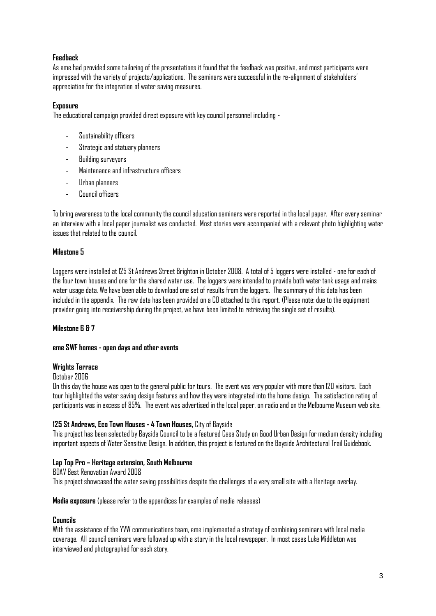## **Feedback**

As eme had provided some tailoring of the presentations it found that the feedback was positive, and most participants were impressed with the variety of projects/applications. The seminars were successful in the re-alignment of stakeholders" appreciation for the integration of water saving measures.

#### **Exposure**

The educational campaign provided direct exposure with key council personnel including -

- Sustainability officers
- Strategic and statuary planners
- Building surveyors
- Maintenance and infrastructure officers
- Urban planners
- Council officers

To bring awareness to the local community the council education seminars were reported in the local paper. After every seminar an interview with a local paper journalist was conducted. Most stories were accompanied with a relevant photo highlighting water issues that related to the council.

#### **Milestone 5**

Loggers were installed at 125 St Andrews Street Brighton in October 2008. A total of 5 loggers were installed - one for each of the four town houses and one for the shared water use. The loggers were intended to provide both water tank usage and mains water usage data. We have been able to download one set of results from the loggers. The summary of this data has been included in the appendix. The raw data has been provided on a CD attached to this report. (Please note: due to the equipment provider going into receivership during the project, we have been limited to retrieving the single set of results).

## **Milestone 6 & 7**

#### **eme SWF homes - open days and other events**

#### **Wrights Terrace**

October 2006

On this day the house was open to the general public for tours. The event was very popular with more than 120 visitors. Each tour highlighted the water saving design features and how they were integrated into the home design. The satisfaction rating of participants was in excess of 85%. The event was advertised in the local paper, on radio and on the Melbourne Museum web site.

## **125 St Andrews, Eco Town Houses - 4 Town Houses,** City of Bayside

This project has been selected by Bayside Council to be a featured Case Study on Good Urban Design for medium density including important aspects of Water Sensitive Design. In addition, this project is featured on the Bayside Architectural Trail Guidebook.

## **Lap Top Pro – Heritage extension, South Melbourne**

BDAV Best Renovation Award 2008 This project showcased the water saving possibilities despite the challenges of a very small site with a Heritage overlay.

#### **Media exposure** (please refer to the appendices for examples of media releases)

#### **Councils**

With the assistance of the YVW communications team, eme implemented a strategy of combining seminars with local media coverage. All council seminars were followed up with a story in the local newspaper. In most cases Luke Middleton was interviewed and photographed for each story.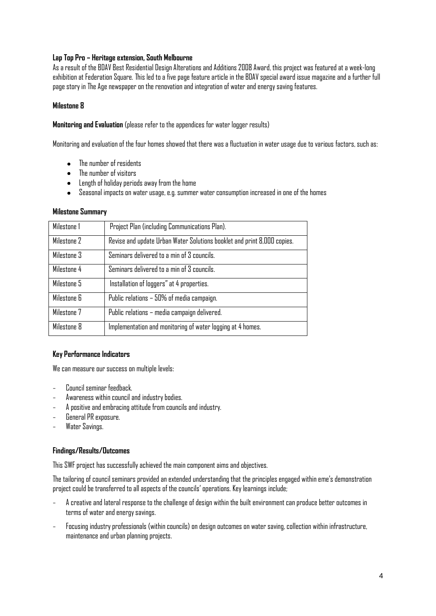## **Lap Top Pro – Heritage extension, South Melbourne**

As a result of the BDAV Best Residential Design Alterations and Additions 2008 Award, this project was featured at a week-long exhibition at Federation Square. This led to a five page feature article in the BDAV special award issue magazine and a further full page story in The Age newspaper on the renovation and integration of water and energy saving features.

## **Milestone 8**

**Monitoring and Evaluation** (please refer to the appendices for water logger results)

Monitoring and evaluation of the four homes showed that there was a fluctuation in water usage due to various factors, such as:

- The number of residents  $\bullet$
- The number of visitors  $\bullet$
- Length of holiday periods away from the home
- $\bullet$ Seasonal impacts on water usage, e.g. summer water consumption increased in one of the homes

#### **Milestone Summary**

| Milestone 1 | Project Plan (including Communications Plan).                           |
|-------------|-------------------------------------------------------------------------|
| Milestone 2 | Revise and update Urban Water Solutions booklet and print 8,000 copies. |
| Milestone 3 | Seminars delivered to a min of 3 councils.                              |
| Milestone 4 | Seminars delivered to a min of 3 councils.                              |
| Milestone 5 | Installation of loggers" at 4 properties.                               |
| Milestone 6 | Public relations - 50% of media campaign.                               |
| Milestone 7 | Public relations - media campaign delivered.                            |
| Milestone 8 | Implementation and monitoring of water logging at 4 homes.              |

## **Key Performance Indicators**

We can measure our success on multiple levels:

- Council seminar feedback.
- Awareness within council and industry bodies.
- A positive and embracing attitude from councils and industry.
- General PR exposure.
- Water Savings.

## **Findings/Results/Outcomes**

This SWF project has successfully achieved the main component aims and objectives.

The tailoring of council seminars provided an extended understanding that the principles engaged within eme"s demonstration project could be transferred to all aspects of the councils" operations. Key learnings include;

- A creative and lateral response to the challenge of design within the built environment can produce better outcomes in terms of water and energy savings.
- Focusing industry professionals (within councils) on design outcomes on water saving, collection within infrastructure, maintenance and urban planning projects.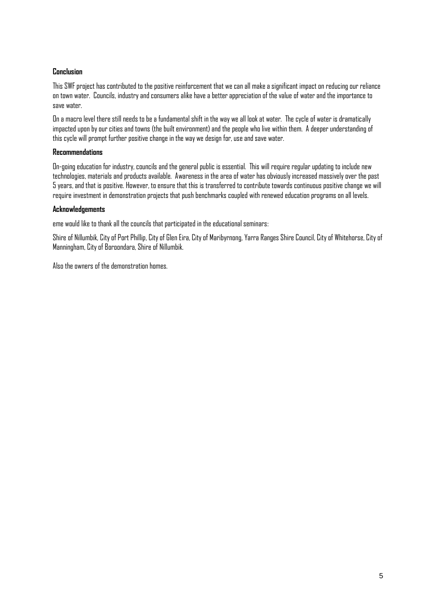## **Conclusion**

This SWF project has contributed to the positive reinforcement that we can all make a significant impact on reducing our reliance on town water. Councils, industry and consumers alike have a better appreciation of the value of water and the importance to save water.

On a macro level there still needs to be a fundamental shift in the way we all look at water. The cycle of water is dramatically impacted upon by our cities and towns (the built environment) and the people who live within them. A deeper understanding of this cycle will prompt further positive change in the way we design for, use and save water.

#### **Recommendations**

On-going education for industry, councils and the general public is essential. This will require regular updating to include new technologies, materials and products available. Awareness in the area of water has obviously increased massively over the past 5 years, and that is positive. However, to ensure that this is transferred to contribute towards continuous positive change we will require investment in demonstration projects that push benchmarks coupled with renewed education programs on all levels.

#### **Acknowledgements**

eme would like to thank all the councils that participated in the educational seminars:

Shire of Nillumbik, City of Port Phillip, City of Glen Eira, City of Maribyrnong, Yarra Ranges Shire Council, City of Whitehorse, City of Manningham, City of Boroondara, Shire of Nillumbik.

Also the owners of the demonstration homes.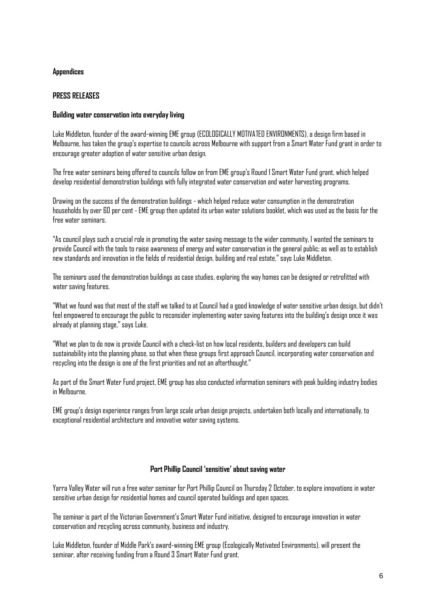#### **Appendices**

#### **PRESS RELEASES**

#### **Building water conservation into everyday living**

Luke Middleton, founder of the award-winning EME group (ECOLOGICALLY MOTIVATED ENVIRONMENTS), a design firm based in Melbourne, has taken the group"s expertise to councils across Melbourne with support from a Smart Water Fund grant in order to encourage greater adoption of water sensitive urban design.

The free water seminars being offered to councils follow on from EME group"s Round 1 Smart Water Fund grant, which helped develop residential demonstration buildings with fully integrated water conservation and water harvesting programs.

Drawing on the success of the demonstration buildings - which helped reduce water consumption in the demonstration households by over 60 per cent - EME group then updated its urban water solutions booklet, which was used as the basis for the free water seminars.

"As council plays such a crucial role in promoting the water saving message to the wider community, I wanted the seminars to provide Council with the tools to raise awareness of energy and water conservation in the general public; as well as to establish new standards and innovation in the fields of residential design, building and real estate," says Luke Middleton.

The seminars used the demonstration buildings as case studies, exploring the way homes can be designed or retrofitted with water saving features.

"What we found was that most of the staff we talked to at Council had a good knowledge of water sensitive urban design, but didn"t feel empowered to encourage the public to reconsider implementing water saving features into the building's design once it was already at planning stage," says Luke.

"What we plan to do now is provide Council with a check-list on how local residents, builders and developers can build sustainability into the planning phase, so that when these groups first approach Council, incorporating water conservation and recycling into the design is one of the first priorities and not an afterthought."

As part of the Smart Water Fund project, EME group has also conducted information seminars with peak building industry bodies in Melbourne.

EME group"s design experience ranges from large scale urban design projects, undertaken both locally and internationally, to exceptional residential architecture and innovative water saving systems.

#### **Port Phillip Council 'sensitive' about saving water**

Yarra Valley Water will run a free water seminar for Port Phillip Council on Thursday 2 October, to explore innovations in water sensitive urban design for residential homes and council operated buildings and open spaces.

The seminar is part of the Victorian Government"s Smart Water Fund initiative, designed to encourage innovation in water conservation and recycling across community, business and industry.

Luke Middleton, founder of Middle Park"s award-winning EME group (Ecologically Motivated Environments), will present the seminar, after receiving funding from a Round 3 Smart Water Fund grant.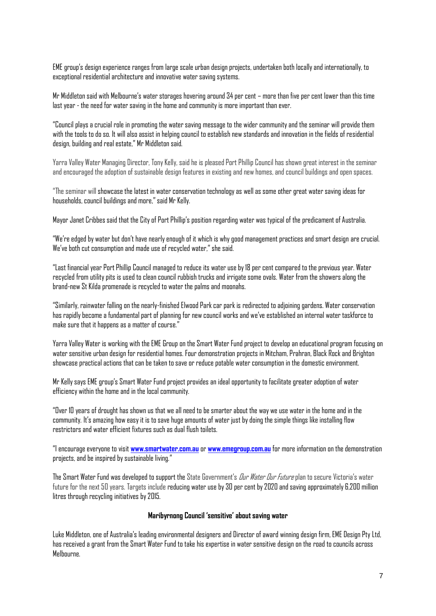EME group"s design experience ranges from large scale urban design projects, undertaken both locally and internationally, to exceptional residential architecture and innovative water saving systems.

Mr Middleton said with Melbourne"s water storages hovering around 34 per cent – more than five per cent lower than this time last year - the need for water saving in the home and community is more important than ever.

"Council plays a crucial role in promoting the water saving message to the wider community and the seminar will provide them with the tools to do so. It will also assist in helping council to establish new standards and innovation in the fields of residential design, building and real estate," Mr Middleton said.

Yarra Valley Water Managing Director, Tony Kelly, said he is pleased Port Phillip Council has shown great interest in the seminar and encouraged the adoption of sustainable design features in existing and new homes, and council buildings and open spaces.

"The seminar will showcase the latest in water conservation technology as well as some other great water saving ideas for households, council buildings and more," said Mr Kelly.

Mayor Janet Cribbes said that the City of Port Phillip"s position regarding water was typical of the predicament of Australia.

"We"re edged by water but don"t have nearly enough of it which is why good management practices and smart design are crucial. We"ve both cut consumption and made use of recycled water," she said.

"Last financial year Port Phillip Council managed to reduce its water use by 18 per cent compared to the previous year. Water recycled from utility pits is used to clean council rubbish trucks and irrigate some ovals. Water from the showers along the brand-new St Kilda promenade is recycled to water the palms and moonahs.

"Similarly, rainwater falling on the nearly-finished Elwood Park car park is redirected to adjoining gardens. Water conservation has rapidly become a fundamental part of planning for new council works and we"ve established an internal water taskforce to make sure that it happens as a matter of course."

Yarra Valley Water is working with the EME Group on the Smart Water Fund project to develop an educational program focusing on water sensitive urban design for residential homes. Four demonstration projects in Mitcham, Prahran, Black Rock and Brighton showcase practical actions that can be taken to save or reduce potable water consumption in the domestic environment.

Mr Kelly says EME group"s Smart Water Fund project provides an ideal opportunity to facilitate greater adoption of water efficiency within the home and in the local community.

"Over 10 years of drought has shown us that we all need to be smarter about the way we use water in the home and in the community. It's amazing how easy it is to save huge amounts of water just by doing the simple things like installing flow restrictors and water efficient fixtures such as dual flush toilets.

"I encourage everyone to visit **[www.smartwater.com.au](http://www.smartwater.com.au/)** or **[www.emegroup.com.au](http://www.emegroup.com.au/)** for more information on the demonstration projects, and be inspired by sustainable living."

The Smart Water Fund was developed to support the State Government's *Dur Water Our Future* plan to secure Victoria's water future for the next 50 years. Targets include reducing water use by 30 per cent by 2020 and saving approximately 6,200 million litres through recycling initiatives by 2015.

#### **Maribyrnong Council 'sensitive' about saving water**

Luke Middleton, one of Australia's leading environmental designers and Director of award winning design firm, EME Design Pty Ltd, has received a grant from the Smart Water Fund to take his expertise in water sensitive design on the road to councils across Melbourne.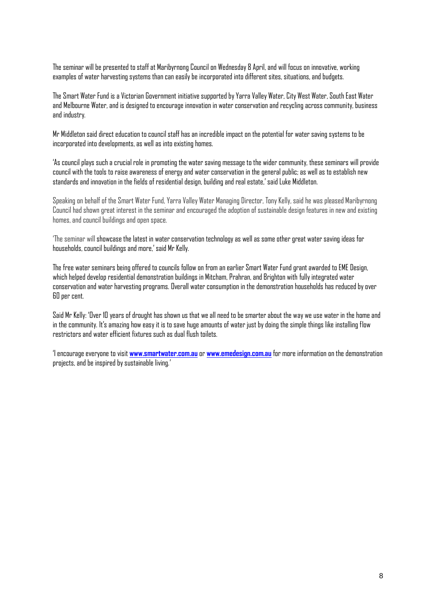The seminar will be presented to staff at Maribyrnong Council on Wednesday 8 April, and will focus on innovative, working examples of water harvesting systems than can easily be incorporated into different sites, situations, and budgets.

The Smart Water Fund is a Victorian Government initiative supported by Yarra Valley Water, City West Water, South East Water and Melbourne Water, and is designed to encourage innovation in water conservation and recycling across community, business and industry.

Mr Middleton said direct education to council staff has an incredible impact on the potential for water saving systems to be incorporated into developments, as well as into existing homes.

"As council plays such a crucial role in promoting the water saving message to the wider community, these seminars will provide council with the tools to raise awareness of energy and water conservation in the general public; as well as to establish new standards and innovation in the fields of residential design, building and real estate," said Luke Middleton.

Speaking on behalf of the Smart Water Fund, Yarra Valley Water Managing Director, Tony Kelly, said he was pleased Maribyrnong Council had shown great interest in the seminar and encouraged the adoption of sustainable design features in new and existing homes, and council buildings and open space.

"The seminar will showcase the latest in water conservation technology as well as some other great water saving ideas for households, council buildings and more,' said Mr Kelly.

The free water seminars being offered to councils follow on from an earlier Smart Water Fund grant awarded to EME Design, which helped develop residential demonstration buildings in Mitcham, Prahran, and Brighton with fully integrated water conservation and water harvesting programs. Overall water consumption in the demonstration households has reduced by over 60 per cent.

Said Mr Kelly: "Over 10 years of drought has shown us that we all need to be smarter about the way we use water in the home and in the community. It"s amazing how easy it is to save huge amounts of water just by doing the simple things like installing flow restrictors and water efficient fixtures such as dual flush toilets.

"I encourage everyone to visit **[www.smartwater.com.au](http://www.smartwater.com.au/)** or **[www.emedesign.com.au](http://www.emedesign.com.au/)** for more information on the demonstration projects, and be inspired by sustainable living."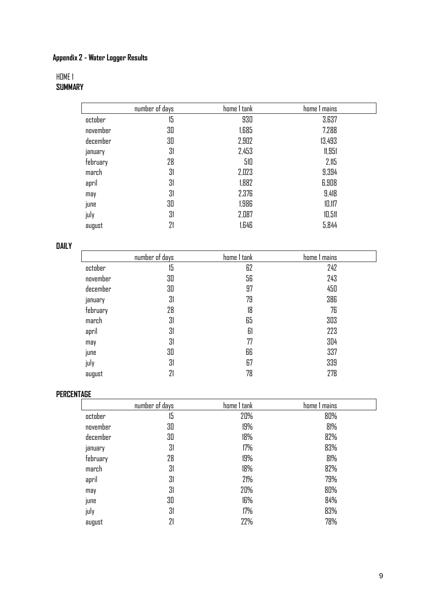#### **Appendix 2 - Water Logger Results**

# HOME 1 **SUMMARY**

|          | number of days | home 1 tank | home I mains |
|----------|----------------|-------------|--------------|
| october  | 15             | 930         | 3,637        |
| november | 30             | 1,685       | 7,288        |
| december | 30             | 2,902       | 13,493       |
| january  | 31             | 2,453       | 11,951       |
| february | 28             | 510         | 2,115        |
| march    | 31             | 2,023       | 9,394        |
| april    | 31             | 1,882       | 6,908        |
| may      | 31             | 2,376       | 9,418        |
| june     | 30             | 1,986       | 10,117       |
| july     | 31             | 2,087       | 10,511       |
| august   | 21             | 1,646       | 5,844        |

# **DAILY**

|          | number of days | home 1 tank | home 1 mains |
|----------|----------------|-------------|--------------|
| october  | 15             | 62          | 242          |
| november | 30             | 56          | 243          |
| december | 30             | 97          | 450          |
| january  | 31             | 79          | 386          |
| february | 28             | 18          | 76           |
| march    | 31             | 65          | 303          |
| april    | 31             | 61          | 223          |
| may      | 31             | 77          | 304          |
| june     | 30             | 66          | 337          |
| july     | 31             | 67          | 339          |
| august   | 21             | 78          | 278          |

## **PERCENTAGE**

| .        |                |             |              |
|----------|----------------|-------------|--------------|
|          | number of days | home 1 tank | home I mains |
| october  | 15             | 20%         | 80%          |
| november | 30             | 19%         | 81%          |
| december | 30             | 18%         | 82%          |
| january  | 31             | 17%         | 83%          |
| february | 28             | 19%         | 81%          |
| march    | 31             | 18%         | 82%          |
| april    | 31             | 21%         | 79%          |
| may      | 31             | 20%         | 80%          |
| june     | 30             | 16%         | 84%          |
| july     | 31             | 17%         | 83%          |
| august   | 21             | 22%         | 78%          |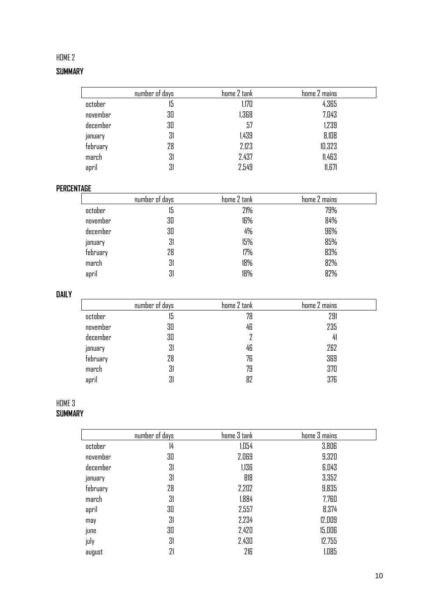# HOME 2

# **SUMMARY**

|          | number of days | home 2 tank | home 2 mains |
|----------|----------------|-------------|--------------|
| october  | 15             | 1,170       | 4,365        |
| november | 30             | 1,368       | 7,043        |
| december | 30             | 57          | 1,239        |
| january  | 31             | 1,439       | 8,108        |
| february | 28             | 2,123       | 10,323       |
| march    | 31             | 2,437       | 11,463       |
| april    | 31             | 2,549       | 11,671       |

# **PERCENTAGE**

|          | number of days | home 2 tank | home 2 mains |  |
|----------|----------------|-------------|--------------|--|
| october  | 15             | 21%         | 79%          |  |
| november | 30             | 16%         | 84%          |  |
| december | 30             | 4%          | 96%          |  |
| january  | 31             | 15%         | 85%          |  |
| february | 28             | 17%         | 83%          |  |
| march    | 31             | 18%         | 82%          |  |
| april    | 31             | 18%         | 82%          |  |

# **DAILY**

|          | number of days | home 2 tank | home 2 mains |  |
|----------|----------------|-------------|--------------|--|
| october  | טו             | 78          | 291          |  |
| november | 30             | 46          | 235          |  |
| december | 30             |             | 41           |  |
| january  | 31             | 46          | 262          |  |
| february | 28             | 76          | 369          |  |
| march    | 31             | 79          | 370          |  |
| april    | 31             | 82          | 376          |  |

## HOME 3 **SUMMARY**

|          | number of days | home 3 tank | home 3 mains |
|----------|----------------|-------------|--------------|
| october  | 14             | 1,054       | 3,806        |
| november | 30             | 2,069       | 9,320        |
| december | 31             | 1,136       | 6,043        |
| january  | 31             | 818         | 3,352        |
| february | 28             | 2,202       | 9,835        |
| march    | 31             | 1,884       | 7,760        |
| april    | 30             | 2,557       | 8,374        |
| may      | 31             | 2,234       | 12,009       |
| june     | 30             | 2,420       | 15,006       |
| july     | 31             | 2,430       | 12,755       |
| august   | 21             | 216         | 1,085        |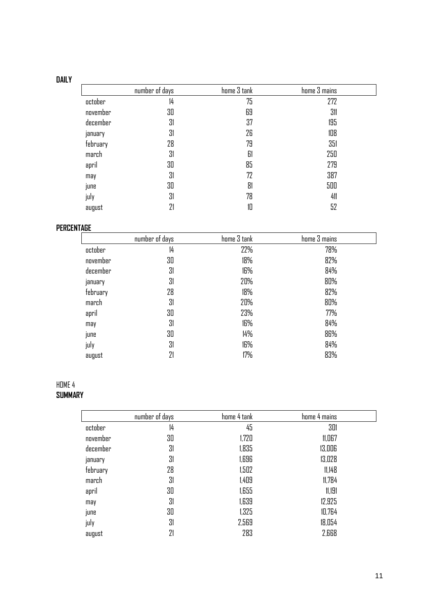# **DAILY**

|          | number of days | home 3 tank | home 3 mains |
|----------|----------------|-------------|--------------|
| october  | 14             | 75          | 272          |
| november | 30             | 69          | 311          |
| december | 31             | 37          | 195          |
| january  | 31             | 26          | 108          |
| february | 28             | 79          | 351          |
| march    | 31             | 61          | 250          |
| april    | 30             | 85          | 279          |
| may      | 31             | 72          | 387          |
| june     | 30             | 81          | 500          |
| july     | 31             | 78          | 411          |
| august   | 21             | 10          | 52           |

# **PERCENTAGE**

|          | number of days | home 3 tank | home 3 mains |  |
|----------|----------------|-------------|--------------|--|
| october  | 14             | 22%         | 78%          |  |
| november | 30             | 18%         | 82%          |  |
| december | 31             | 16%         | 84%          |  |
| january  | 31             | 20%         | 80%          |  |
| february | 28             | 18%         | 82%          |  |
| march    | 31             | 20%         | 80%          |  |
| april    | 30             | 23%         | 77%          |  |
| may      | 31             | 16%         | 84%          |  |
| june     | 30             | 14%         | 86%          |  |
| july     | 31             | 16%         | 84%          |  |
| august   | 21             | 17%         | 83%          |  |

# HOME 4 **SUMMARY**

|          | number of days | home 4 tank | home 4 mains |
|----------|----------------|-------------|--------------|
| october  | 14             | 45          | 301          |
| november | 30             | 1,720       | 11,067       |
| december | 31             | 1,835       | 13,006       |
| january  | 31             | 1,696       | 13,028       |
| february | 28             | 1,502       | 11,148       |
| march    | 31             | 1,409       | 11,784       |
| april    | 30             | 1,655       | 11,191       |
| may      | 31             | 1,639       | 12,925       |
| june     | 30             | 1,325       | 10,764       |
| july     | 31             | 2,569       | 18,054       |
| august   | 21             | 283         | 2,668        |